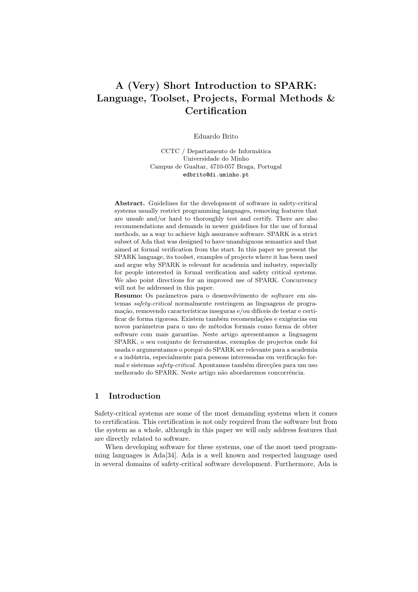# A (Very) Short Introduction to SPARK: Language, Toolset, Projects, Formal Methods & **Certification**

Eduardo Brito

CCTC / Departamento de Informática Universidade do Minho Campus de Gualtar, 4710-057 Braga, Portugal edbrito@di.uminho.pt

Abstract. Guidelines for the development of software in safety-critical systems usually restrict programming languages, removing features that are unsafe and/or hard to thoroughly test and certify. There are also recommendations and demands in newer guidelines for the use of formal methods, as a way to achieve high assurance software. SPARK is a strict subset of Ada that was designed to have unambiguous semantics and that aimed at formal verification from the start. In this paper we present the SPARK language, its toolset, examples of projects where it has been used and argue why SPARK is relevant for academia and industry, especially for people interested in formal verification and safety critical systems. We also point directions for an improved use of SPARK. Concurrency will not be addressed in this paper.

Resumo: Os parâmetros para o desenvolvimento de software em sistemas safety-critical normalmente restringem as linguagens de programação, removendo características inseguras e/ou difíceis de testar e certificar de forma rigorosa. Existem também recomendações e exigências em novos parâmetros para o uso de métodos formais como forma de obter software com mais garantias. Neste artigo apresentamos a linguagem SPARK, o seu conjunto de ferramentas, exemplos de projectos onde foi usada e argumentamos o porquê do SPARK ser relevante para a academia e a indústria, especialmente para pessoas interessadas em verificação formal e sistemas safety-critical. Apontamos também direcções para um uso melhorado do SPARK. Neste artigo não abordaremos concorrência.

# 1 Introduction

Safety-critical systems are some of the most demanding systems when it comes to certification. This certification is not only required from the software but from the system as a whole, although in this paper we will only address features that are directly related to software.

When developing software for these systems, one of the most used programming languages is Ada[34]. Ada is a well known and respected language used in several domains of safety-critical software development. Furthermore, Ada is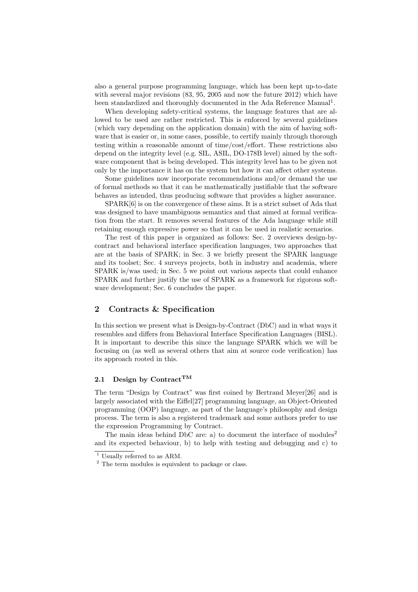also a general purpose programming language, which has been kept up-to-date with several major revisions (83, 95, 2005 and now the future 2012) which have been standardized and thoroughly documented in the Ada Reference Manual<sup>1</sup>.

When developing safety-critical systems, the language features that are allowed to be used are rather restricted. This is enforced by several guidelines (which vary depending on the application domain) with the aim of having software that is easier or, in some cases, possible, to certify mainly through thorough testing within a reasonable amount of time/cost/effort. These restrictions also depend on the integrity level (e.g. SIL, ASIL, DO-178B level) aimed by the software component that is being developed. This integrity level has to be given not only by the importance it has on the system but how it can affect other systems.

Some guidelines now incorporate recommendations and/or demand the use of formal methods so that it can be mathematically justifiable that the software behaves as intended, thus producing software that provides a higher assurance.

SPARK[6] is on the convergence of these aims. It is a strict subset of Ada that was designed to have unambiguous semantics and that aimed at formal verification from the start. It removes several features of the Ada language while still retaining enough expressive power so that it can be used in realistic scenarios.

The rest of this paper is organized as follows: Sec. 2 overviews design-bycontract and behavioral interface specification languages, two approaches that are at the basis of SPARK; in Sec. 3 we briefly present the SPARK language and its toolset; Sec. 4 surveys projects, both in industry and academia, where SPARK is/was used; in Sec. 5 we point out various aspects that could enhance SPARK and further justify the use of SPARK as a framework for rigorous software development; Sec. 6 concludes the paper.

## 2 Contracts & Specification

In this section we present what is Design-by-Contract (DbC) and in what ways it resembles and differs from Behavioral Interface Specification Languages (BISL). It is important to describe this since the language SPARK which we will be focusing on (as well as several others that aim at source code verification) has its approach rooted in this.

# 2.1 Design by Contract<sup>TM</sup>

The term "Design by Contract" was first coined by Bertrand Meyer[26] and is largely associated with the Eiffel[27] programming language, an Object-Oriented programming (OOP) language, as part of the language's philosophy and design process. The term is also a registered trademark and some authors prefer to use the expression Programming by Contract.

The main ideas behind DbC are: a) to document the interface of modules<sup>2</sup> and its expected behaviour, b) to help with testing and debugging and c) to

<sup>1</sup> Usually referred to as ARM.

<sup>2</sup> The term modules is equivalent to package or class.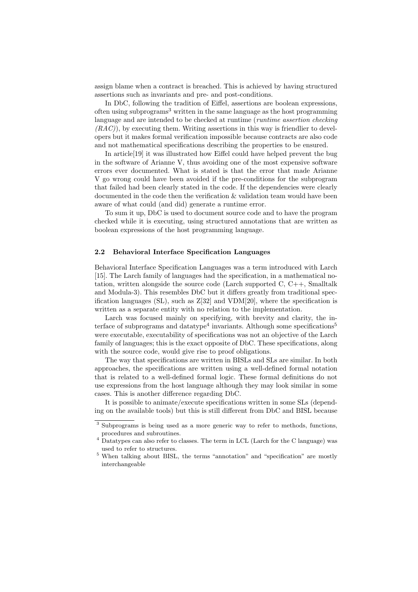assign blame when a contract is breached. This is achieved by having structured assertions such as invariants and pre- and post-conditions.

In DbC, following the tradition of Eiffel, assertions are boolean expressions, often using subprograms<sup>3</sup> written in the same language as the host programming language and are intended to be checked at runtime (*runtime assertion checking*  $(RAC)$ , by executing them. Writing assertions in this way is friendlier to developers but it makes formal verification impossible because contracts are also code and not mathematical specifications describing the properties to be ensured.

In article[19] it was illustrated how Eiffel could have helped prevent the bug in the software of Arianne V, thus avoiding one of the most expensive software errors ever documented. What is stated is that the error that made Arianne V go wrong could have been avoided if the pre-conditions for the subprogram that failed had been clearly stated in the code. If the dependencies were clearly documented in the code then the verification & validation team would have been aware of what could (and did) generate a runtime error.

To sum it up, DbC is used to document source code and to have the program checked while it is executing, using structured annotations that are written as boolean expressions of the host programming language.

#### 2.2 Behavioral Interface Specification Languages

Behavioral Interface Specification Languages was a term introduced with Larch [15]. The Larch family of languages had the specification, in a mathematical notation, written alongside the source code (Larch supported C, C++, Smalltalk and Modula-3). This resembles DbC but it differs greatly from traditional specification languages  $(S<sub>L</sub>)$ , such as  $Z[32]$  and VDM[20], where the specification is written as a separate entity with no relation to the implementation.

Larch was focused mainly on specifying, with brevity and clarity, the interface of subprograms and datatype<sup>4</sup> invariants. Although some specifications<sup>5</sup> were executable, executability of specifications was not an objective of the Larch family of languages; this is the exact opposite of DbC. These specifications, along with the source code, would give rise to proof obligations.

The way that specifications are written in BISLs and SLs are similar. In both approaches, the specifications are written using a well-defined formal notation that is related to a well-defined formal logic. These formal definitions do not use expressions from the host language although they may look similar in some cases. This is another difference regarding DbC.

It is possible to animate/execute specifications written in some SLs (depending on the available tools) but this is still different from DbC and BISL because

<sup>3</sup> Subprograms is being used as a more generic way to refer to methods, functions, procedures and subroutines.

<sup>4</sup> Datatypes can also refer to classes. The term in LCL (Larch for the C language) was used to refer to structures.

<sup>5</sup> When talking about BISL, the terms "annotation" and "specification" are mostly interchangeable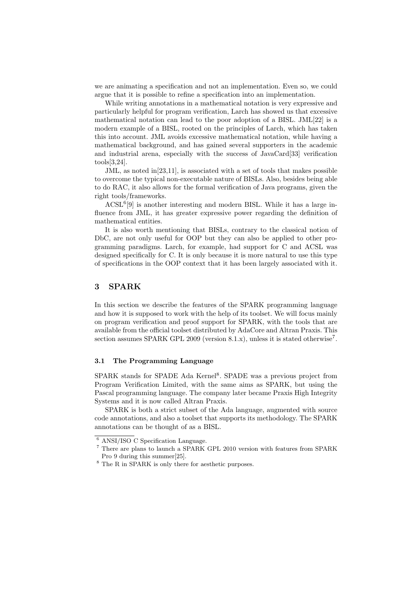we are animating a specification and not an implementation. Even so, we could argue that it is possible to refine a specification into an implementation.

While writing annotations in a mathematical notation is very expressive and particularly helpful for program verification, Larch has showed us that excessive mathematical notation can lead to the poor adoption of a BISL. JML[22] is a modern example of a BISL, rooted on the principles of Larch, which has taken this into account. JML avoids excessive mathematical notation, while having a mathematical background, and has gained several supporters in the academic and industrial arena, especially with the success of JavaCard[33] verification tools[3,24].

JML, as noted in[23,11], is associated with a set of tools that makes possible to overcome the typical non-executable nature of BISLs. Also, besides being able to do RAC, it also allows for the formal verification of Java programs, given the right tools/frameworks.

 $ACSL<sup>6</sup>[9]$  is another interesting and modern BISL. While it has a large influence from JML, it has greater expressive power regarding the definition of mathematical entities.

It is also worth mentioning that BISLs, contrary to the classical notion of DbC, are not only useful for OOP but they can also be applied to other programming paradigms. Larch, for example, had support for C and ACSL was designed specifically for C. It is only because it is more natural to use this type of specifications in the OOP context that it has been largely associated with it.

## 3 SPARK

In this section we describe the features of the SPARK programming language and how it is supposed to work with the help of its toolset. We will focus mainly on program verification and proof support for SPARK, with the tools that are available from the official toolset distributed by AdaCore and Altran Praxis. This section assumes SPARK GPL 2009 (version 8.1.x), unless it is stated otherwise<sup>7</sup>.

## 3.1 The Programming Language

SPARK stands for SPADE Ada Kernel<sup>8</sup>. SPADE was a previous project from Program Verification Limited, with the same aims as SPARK, but using the Pascal programming language. The company later became Praxis High Integrity Systems and it is now called Altran Praxis.

SPARK is both a strict subset of the Ada language, augmented with source code annotations, and also a toolset that supports its methodology. The SPARK annotations can be thought of as a BISL.

<sup>6</sup> ANSI/ISO C Specification Language.

<sup>7</sup> There are plans to launch a SPARK GPL 2010 version with features from SPARK Pro 9 during this summer[25].

 $^8$  The R in SPARK is only there for aesthetic purposes.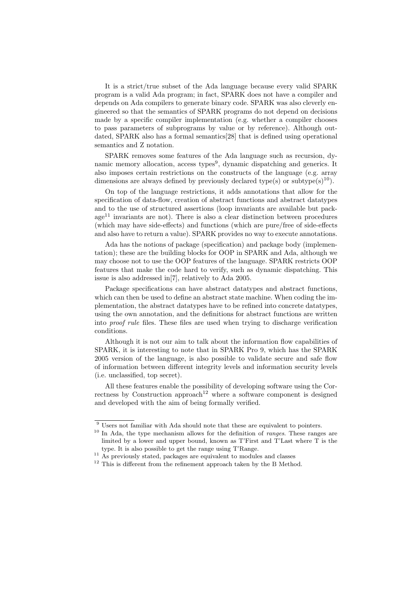It is a strict/true subset of the Ada language because every valid SPARK program is a valid Ada program; in fact, SPARK does not have a compiler and depends on Ada compilers to generate binary code. SPARK was also cleverly engineered so that the semantics of SPARK programs do not depend on decisions made by a specific compiler implementation (e.g. whether a compiler chooses to pass parameters of subprograms by value or by reference). Although outdated, SPARK also has a formal semantics[28] that is defined using operational semantics and Z notation.

SPARK removes some features of the Ada language such as recursion, dynamic memory allocation, access types<sup>9</sup>, dynamic dispatching and generics. It also imposes certain restrictions on the constructs of the language (e.g. array dimensions are always defined by previously declared type(s) or subtype(s)<sup>10</sup>).

On top of the language restrictions, it adds annotations that allow for the specification of data-flow, creation of abstract functions and abstract datatypes and to the use of structured assertions (loop invariants are available but pack $age<sup>11</sup>$  invariants are not). There is also a clear distinction between procedures (which may have side-effects) and functions (which are pure/free of side-effects and also have to return a value). SPARK provides no way to execute annotations.

Ada has the notions of package (specification) and package body (implementation); these are the building blocks for OOP in SPARK and Ada, although we may choose not to use the OOP features of the language. SPARK restricts OOP features that make the code hard to verify, such as dynamic dispatching. This issue is also addressed in[7], relatively to Ada 2005.

Package specifications can have abstract datatypes and abstract functions, which can then be used to define an abstract state machine. When coding the implementation, the abstract datatypes have to be refined into concrete datatypes, using the own annotation, and the definitions for abstract functions are written into proof rule files. These files are used when trying to discharge verification conditions.

Although it is not our aim to talk about the information flow capabilities of SPARK, it is interesting to note that in SPARK Pro 9, which has the SPARK 2005 version of the language, is also possible to validate secure and safe flow of information between different integrity levels and information security levels (i.e. unclassified, top secret).

All these features enable the possibility of developing software using the Correctness by Construction approach<sup>12</sup> where a software component is designed and developed with the aim of being formally verified.

 $9$  Users not familiar with Ada should note that these are equivalent to pointers.

 $10$  In Ada, the type mechanism allows for the definition of *ranges*. These ranges are limited by a lower and upper bound, known as T'First and T'Last where T is the type. It is also possible to get the range using T'Range.

 $11$   $\overline{\rm As}$  previously stated, packages are equivalent to modules and classes

 $12$  This is different from the refinement approach taken by the B Method.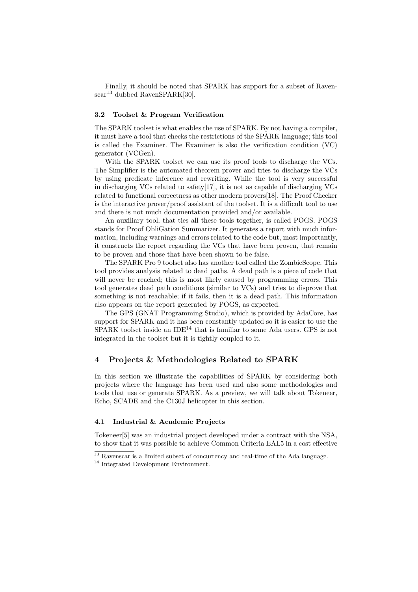Finally, it should be noted that SPARK has support for a subset of Ravenscar<sup>13</sup> dubbed RavenSPARK[30].

## 3.2 Toolset & Program Verification

The SPARK toolset is what enables the use of SPARK. By not having a compiler, it must have a tool that checks the restrictions of the SPARK language; this tool is called the Examiner. The Examiner is also the verification condition (VC) generator (VCGen).

With the SPARK toolset we can use its proof tools to discharge the VCs. The Simplifier is the automated theorem prover and tries to discharge the VCs by using predicate inference and rewriting. While the tool is very successful in discharging VCs related to safety $[17]$ , it is not as capable of discharging VCs related to functional correctness as other modern provers[18]. The Proof Checker is the interactive prover/proof assistant of the toolset. It is a difficult tool to use and there is not much documentation provided and/or available.

An auxiliary tool, that ties all these tools together, is called POGS. POGS stands for Proof ObliGation Summarizer. It generates a report with much information, including warnings and errors related to the code but, most importantly, it constructs the report regarding the VCs that have been proven, that remain to be proven and those that have been shown to be false.

The SPARK Pro 9 toolset also has another tool called the ZombieScope. This tool provides analysis related to dead paths. A dead path is a piece of code that will never be reached; this is most likely caused by programming errors. This tool generates dead path conditions (similar to VCs) and tries to disprove that something is not reachable; if it fails, then it is a dead path. This information also appears on the report generated by POGS, as expected.

The GPS (GNAT Programming Studio), which is provided by AdaCore, has support for SPARK and it has been constantly updated so it is easier to use the SPARK toolset inside an IDE<sup>14</sup> that is familiar to some Ada users. GPS is not integrated in the toolset but it is tightly coupled to it.

## 4 Projects & Methodologies Related to SPARK

In this section we illustrate the capabilities of SPARK by considering both projects where the language has been used and also some methodologies and tools that use or generate SPARK. As a preview, we will talk about Tokeneer, Echo, SCADE and the C130J helicopter in this section.

### 4.1 Industrial & Academic Projects

Tokeneer[5] was an industrial project developed under a contract with the NSA, to show that it was possible to achieve Common Criteria EAL5 in a cost effective

<sup>&</sup>lt;sup>13</sup> Ravenscar is a limited subset of concurrency and real-time of the Ada language.

<sup>&</sup>lt;sup>14</sup> Integrated Development Environment.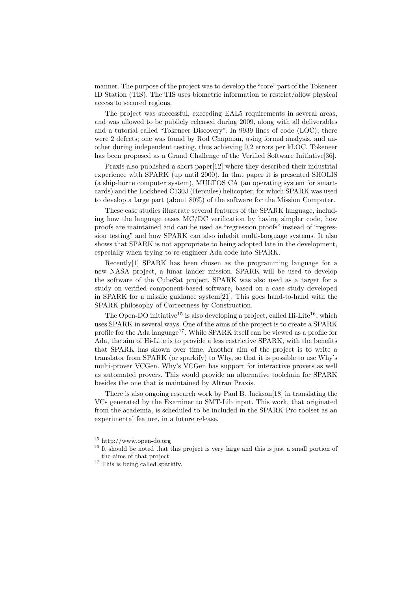manner. The purpose of the project was to develop the"core"part of the Tokeneer ID Station (TIS). The TIS uses biometric information to restrict/allow physical access to secured regions.

The project was successful, exceeding EAL5 requirements in several areas, and was allowed to be publicly released during 2009, along with all deliverables and a tutorial called "Tokeneer Discovery". In 9939 lines of code (LOC), there were 2 defects; one was found by Rod Chapman, using formal analysis, and another during independent testing, thus achieving 0,2 errors per kLOC. Tokeneer has been proposed as a Grand Challenge of the Verified Software Initiative[36].

Praxis also published a short paper[12] where they described their industrial experience with SPARK (up until 2000). In that paper it is presented SHOLIS (a ship-borne computer system), MULTOS CA (an operating system for smartcards) and the Lockheed C130J (Hercules) helicopter, for which SPARK was used to develop a large part (about 80%) of the software for the Mission Computer.

These case studies illustrate several features of the SPARK language, including how the language eases MC/DC verification by having simpler code, how proofs are maintained and can be used as "regression proofs" instead of "regression testing" and how SPARK can also inhabit multi-language systems. It also shows that SPARK is not appropriate to being adopted late in the development, especially when trying to re-engineer Ada code into SPARK.

Recently[1] SPARK has been chosen as the programming language for a new NASA project, a lunar lander mission. SPARK will be used to develop the software of the CubeSat project. SPARK was also used as a target for a study on verified component-based software, based on a case study developed in SPARK for a missile guidance system[21]. This goes hand-to-hand with the SPARK philosophy of Correctness by Construction.

The Open-DO initiative<sup>15</sup> is also developing a project, called Hi-Lite<sup>16</sup>, which uses SPARK in several ways. One of the aims of the project is to create a SPARK profile for the Ada language<sup>17</sup>. While SPARK itself can be viewed as a profile for Ada, the aim of Hi-Lite is to provide a less restrictive SPARK, with the benefits that SPARK has shown over time. Another aim of the project is to write a translator from SPARK (or sparkify) to Why, so that it is possible to use Why's multi-prover VCGen. Why's VCGen has support for interactive provers as well as automated provers. This would provide an alternative toolchain for SPARK besides the one that is maintained by Altran Praxis.

There is also ongoing research work by Paul B. Jackson[18] in translating the VCs generated by the Examiner to SMT-Lib input. This work, that originated from the academia, is scheduled to be included in the SPARK Pro toolset as an experimental feature, in a future release.

<sup>15</sup> http://www.open-do.org

<sup>&</sup>lt;sup>16</sup> It should be noted that this project is very large and this is just a small portion of the aims of that project.

<sup>&</sup>lt;sup>17</sup> This is being called sparkify.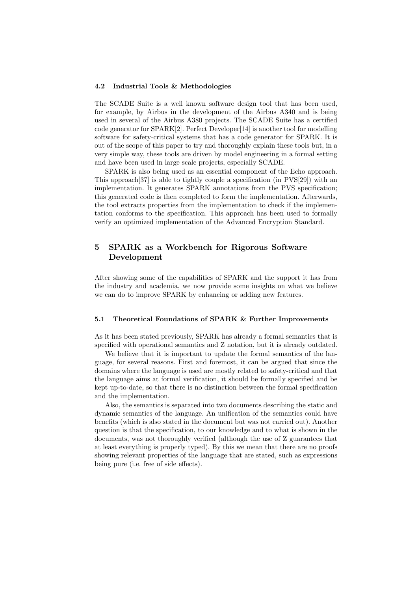#### 4.2 Industrial Tools & Methodologies

The SCADE Suite is a well known software design tool that has been used, for example, by Airbus in the development of the Airbus A340 and is being used in several of the Airbus A380 projects. The SCADE Suite has a certified code generator for SPARK[2]. Perfect Developer[14] is another tool for modelling software for safety-critical systems that has a code generator for SPARK. It is out of the scope of this paper to try and thoroughly explain these tools but, in a very simple way, these tools are driven by model engineering in a formal setting and have been used in large scale projects, especially SCADE.

SPARK is also being used as an essential component of the Echo approach. This approach[37] is able to tightly couple a specification (in PVS[29]) with an implementation. It generates SPARK annotations from the PVS specification; this generated code is then completed to form the implementation. Afterwards, the tool extracts properties from the implementation to check if the implementation conforms to the specification. This approach has been used to formally verify an optimized implementation of the Advanced Encryption Standard.

# 5 SPARK as a Workbench for Rigorous Software Development

After showing some of the capabilities of SPARK and the support it has from the industry and academia, we now provide some insights on what we believe we can do to improve SPARK by enhancing or adding new features.

#### 5.1 Theoretical Foundations of SPARK & Further Improvements

As it has been stated previously, SPARK has already a formal semantics that is specified with operational semantics and Z notation, but it is already outdated.

We believe that it is important to update the formal semantics of the language, for several reasons. First and foremost, it can be argued that since the domains where the language is used are mostly related to safety-critical and that the language aims at formal verification, it should be formally specified and be kept up-to-date, so that there is no distinction between the formal specification and the implementation.

Also, the semantics is separated into two documents describing the static and dynamic semantics of the language. An unification of the semantics could have benefits (which is also stated in the document but was not carried out). Another question is that the specification, to our knowledge and to what is shown in the documents, was not thoroughly verified (although the use of Z guarantees that at least everything is properly typed). By this we mean that there are no proofs showing relevant properties of the language that are stated, such as expressions being pure (i.e. free of side effects).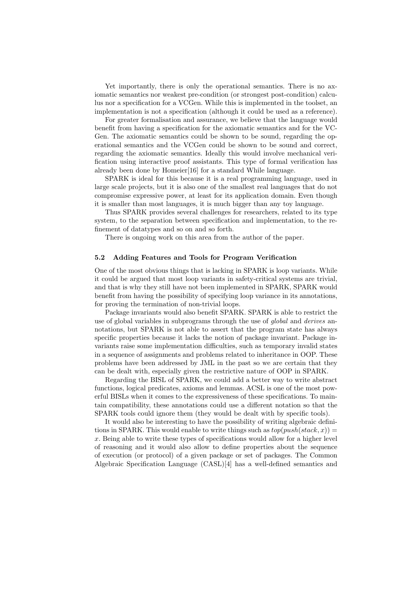Yet importantly, there is only the operational semantics. There is no axiomatic semantics nor weakest pre-condition (or strongest post-condition) calculus nor a specification for a VCGen. While this is implemented in the toolset, an implementation is not a specification (although it could be used as a reference).

For greater formalisation and assurance, we believe that the language would benefit from having a specification for the axiomatic semantics and for the VC-Gen. The axiomatic semantics could be shown to be sound, regarding the operational semantics and the VCGen could be shown to be sound and correct, regarding the axiomatic semantics. Ideally this would involve mechanical verification using interactive proof assistants. This type of formal verification has already been done by Homeier[16] for a standard While language.

SPARK is ideal for this because it is a real programming language, used in large scale projects, but it is also one of the smallest real languages that do not compromise expressive power, at least for its application domain. Even though it is smaller than most languages, it is much bigger than any toy language.

Thus SPARK provides several challenges for researchers, related to its type system, to the separation between specification and implementation, to the refinement of datatypes and so on and so forth.

There is ongoing work on this area from the author of the paper.

#### 5.2 Adding Features and Tools for Program Verification

One of the most obvious things that is lacking in SPARK is loop variants. While it could be argued that most loop variants in safety-critical systems are trivial, and that is why they still have not been implemented in SPARK, SPARK would benefit from having the possibility of specifying loop variance in its annotations, for proving the termination of non-trivial loops.

Package invariants would also benefit SPARK. SPARK is able to restrict the use of global variables in subprograms through the use of global and derives annotations, but SPARK is not able to assert that the program state has always specific properties because it lacks the notion of package invariant. Package invariants raise some implementation difficulties, such as temporary invalid states in a sequence of assignments and problems related to inheritance in OOP. These problems have been addressed by JML in the past so we are certain that they can be dealt with, especially given the restrictive nature of OOP in SPARK.

Regarding the BISL of SPARK, we could add a better way to write abstract functions, logical predicates, axioms and lemmas. ACSL is one of the most powerful BISLs when it comes to the expressiveness of these specifications. To maintain compatibility, these annotations could use a different notation so that the SPARK tools could ignore them (they would be dealt with by specific tools).

It would also be interesting to have the possibility of writing algebraic definitions in SPARK. This would enable to write things such as  $top(push(state, x)) =$  $x$ . Being able to write these types of specifications would allow for a higher level of reasoning and it would also allow to define properties about the sequence of execution (or protocol) of a given package or set of packages. The Common Algebraic Specification Language (CASL)[4] has a well-defined semantics and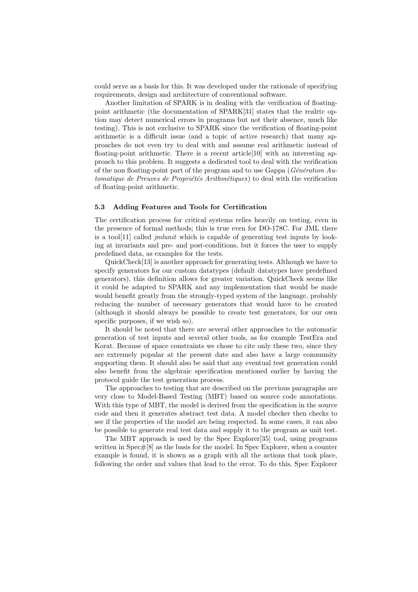could serve as a basis for this. It was developed under the rationale of specifying requirements, design and architecture of conventional software.

Another limitation of SPARK is in dealing with the verification of floatingpoint arithmetic (the documentation of SPARK[31] states that the realrtc option may detect numerical errors in programs but not their absence, much like testing). This is not exclusive to SPARK since the verification of floating-point arithmetic is a difficult issue (and a topic of active research) that many approaches do not even try to deal with and assume real arithmetic instead of floating-point arithmetic. There is a recent article<sup>[10]</sup> with an interesting approach to this problem. It suggests a dedicated tool to deal with the verification of the non floating-point part of the program and to use Gappa ( $G\acute{e}n\acute{e}ration$  Automatique de Preuves de Propriétés Arithmétiques) to deal with the verification of floating-point arithmetic.

#### 5.3 Adding Features and Tools for Certification

The certification process for critical systems relies heavily on testing, even in the presence of formal methods; this is true even for DO-178C. For JML there is a tool[11] called *jmlunit* which is capable of generating test inputs by looking at invariants and pre- and post-conditions, but it forces the user to supply predefined data, as examples for the tests.

QuickCheck[13] is another approach for generating tests. Although we have to specify generators for our custom datatypes (default datatypes have predefined generators), this definition allows for greater variation. QuickCheck seems like it could be adapted to SPARK and any implementation that would be made would benefit greatly from the strongly-typed system of the language, probably reducing the number of necessary generators that would have to be created (although it should always be possible to create test generators, for our own specific purposes, if we wish so).

It should be noted that there are several other approaches to the automatic generation of test inputs and several other tools, as for example TestEra and Korat. Because of space constraints we chose to cite only these two, since they are extremely popular at the present date and also have a large community supporting them. It should also be said that any eventual test generation could also benefit from the algebraic specification mentioned earlier by having the protocol guide the test generation process.

The approaches to testing that are described on the previous paragraphs are very close to Model-Based Testing (MBT) based on source code annotations. With this type of MBT, the model is derived from the specification in the source code and then it generates abstract test data. A model checker then checks to see if the properties of the model are being respected. In some cases, it can also be possible to generate real test data and supply it to the program as unit test.

The MBT approach is used by the Spec Explorer[35] tool, using programs written in  $Spec\#[8]$  as the basis for the model. In Spec Explorer, when a counter example is found, it is shown as a graph with all the actions that took place, following the order and values that lead to the error. To do this, Spec Explorer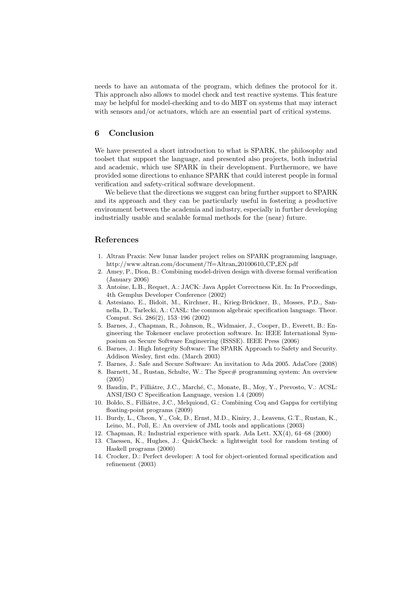needs to have an automata of the program, which defines the protocol for it. This approach also allows to model check and test reactive systems. This feature may be helpful for model-checking and to do MBT on systems that may interact with sensors and/or actuators, which are an essential part of critical systems.

## 6 Conclusion

We have presented a short introduction to what is SPARK, the philosophy and toolset that support the language, and presented also projects, both industrial and academic, which use SPARK in their development. Furthermore, we have provided some directions to enhance SPARK that could interest people in formal verification and safety-critical software development.

We believe that the directions we suggest can bring further support to SPARK and its approach and they can be particularly useful in fostering a productive environment between the academia and industry, especially in further developing industrially usable and scalable formal methods for the (near) future.

## References

- 1. Altran Praxis: New lunar lander project relies on SPARK programming language, http://www.altran.com/document/?f=Altran 20100610 CP EN.pdf
- 2. Amey, P., Dion, B.: Combining model-driven design with diverse formal verification (January 2006)
- 3. Antoine, L.B., Requet, A.: JACK: Java Applet Correctness Kit. In: In Proceedings, 4th Gemplus Developer Conference (2002)
- 4. Astesiano, E., Bidoit, M., Kirchner, H., Krieg-Bruckner, B., Mosses, P.D., San- ¨ nella, D., Tarlecki, A.: CASL: the common algebraic specification language. Theor. Comput. Sci. 286(2), 153–196 (2002)
- 5. Barnes, J., Chapman, R., Johnson, R., Widmaier, J., Cooper, D., Everett, B.: Engineering the Tokeneer enclave protection software. In: IEEE International Symposium on Secure Software Engineering (ISSSE). IEEE Press (2006)
- 6. Barnes, J.: High Integrity Software: The SPARK Approach to Safety and Security. Addison Wesley, first edn. (March 2003)
- 7. Barnes, J.: Safe and Secure Software: An invitation to Ada 2005. AdaCore (2008)
- 8. Barnett, M., Rustan, Schulte, W.: The Spec# programming system: An overview (2005)
- 9. Baudin, P., Filliâtre, J.C., Marché, C., Monate, B., Moy, Y., Prevosto, V.: ACSL: ANSI/ISO C Specification Language, version 1.4 (2009)
- 10. Boldo, S., Filliâtre, J.C., Melquiond, G.: Combining Coq and Gappa for certifying floating-point programs (2009)
- 11. Burdy, L., Cheon, Y., Cok, D., Ernst, M.D., Kiniry, J., Leavens, G.T., Rustan, K., Leino, M., Poll, E.: An overview of JML tools and applications (2003)
- 12. Chapman, R.: Industrial experience with spark. Ada Lett. XX(4), 64–68 (2000)
- 13. Claessen, K., Hughes, J.: QuickCheck: a lightweight tool for random testing of Haskell programs (2000)
- 14. Crocker, D.: Perfect developer: A tool for object-oriented formal specification and refinement (2003)